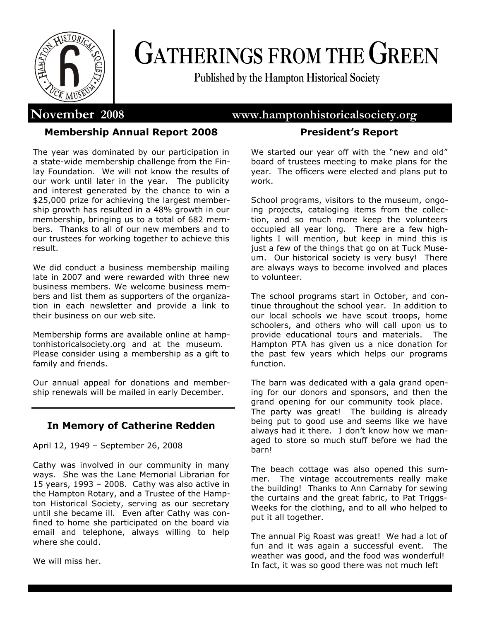

# **GATHERINGS FROM THE GREEN**

**Published by the Hampton Historical Society**

# **November 2008 www.hamptonhistoricalsociety.org**

# **Membership Annual Report 2008**

The year was dominated by our participation in a state-wide membership challenge from the Finlay Foundation. We will not know the results of our work until later in the year. The publicity and interest generated by the chance to win a \$25,000 prize for achieving the largest membership growth has resulted in a 48% growth in our membership, bringing us to a total of 682 members. Thanks to all of our new members and to our trustees for working together to achieve this result.

We did conduct a business membership mailing late in 2007 and were rewarded with three new business members. We welcome business members and list them as supporters of the organization in each newsletter and provide a link to their business on our web site.

Membership forms are available online at hamptonhistoricalsociety.org and at the museum. Please consider using a membership as a gift to family and friends.

Our annual appeal for donations and membership renewals will be mailed in early December.

# **In Memory of Catherine Redden**

April 12, 1949 – September 26, 2008

Cathy was involved in our community in many ways. She was the Lane Memorial Librarian for 15 years, 1993 – 2008. Cathy was also active in the Hampton Rotary, and a Trustee of the Hampton Historical Society, serving as our secretary until she became ill. Even after Cathy was confined to home she participated on the board via email and telephone, always willing to help where she could.

We will miss her.

# **President's Report**

We started our year off with the "new and old" board of trustees meeting to make plans for the year. The officers were elected and plans put to work.

School programs, visitors to the museum, ongoing projects, cataloging items from the collection, and so much more keep the volunteers occupied all year long. There are a few highlights I will mention, but keep in mind this is just a few of the things that go on at Tuck Museum. Our historical society is very busy! There are always ways to become involved and places to volunteer.

The school programs start in October, and continue throughout the school year. In addition to our local schools we have scout troops, home schoolers, and others who will call upon us to provide educational tours and materials. The Hampton PTA has given us a nice donation for the past few years which helps our programs function.

The barn was dedicated with a gala grand opening for our donors and sponsors, and then the grand opening for our community took place. The party was great! The building is already being put to good use and seems like we have always had it there. I don't know how we managed to store so much stuff before we had the barn!

The beach cottage was also opened this summer. The vintage accoutrements really make the building! Thanks to Ann Carnaby for sewing the curtains and the great fabric, to Pat Triggs-Weeks for the clothing, and to all who helped to put it all together.

The annual Pig Roast was great! We had a lot of fun and it was again a successful event. The weather was good, and the food was wonderful! In fact, it was so good there was not much left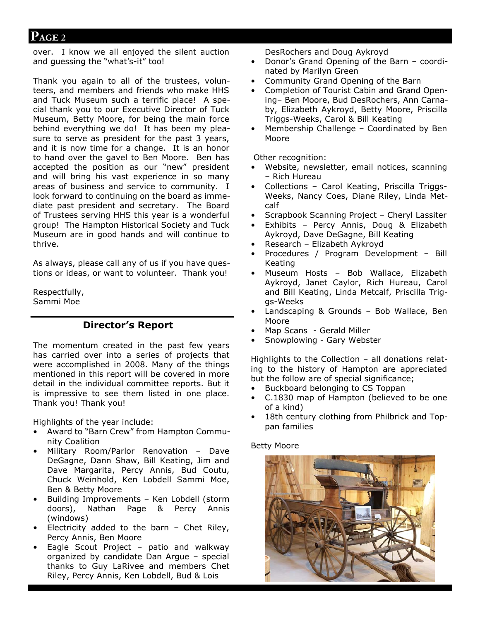# **PAGE 2**

over. I know we all enjoyed the silent auction and guessing the "what's-it" too!

Thank you again to all of the trustees, volunteers, and members and friends who make HHS and Tuck Museum such a terrific place! A special thank you to our Executive Director of Tuck Museum, Betty Moore, for being the main force behind everything we do! It has been my pleasure to serve as president for the past 3 years, and it is now time for a change. It is an honor to hand over the gavel to Ben Moore. Ben has accepted the position as our "new" president and will bring his vast experience in so many areas of business and service to community. I look forward to continuing on the board as immediate past president and secretary. The Board of Trustees serving HHS this year is a wonderful group! The Hampton Historical Society and Tuck Museum are in good hands and will continue to thrive.

As always, please call any of us if you have questions or ideas, or want to volunteer. Thank you!

Respectfully, Sammi Moe

# **Director's Report**

The momentum created in the past few years has carried over into a series of projects that were accomplished in 2008. Many of the things mentioned in this report will be covered in more detail in the individual committee reports. But it is impressive to see them listed in one place. Thank you! Thank you!

Highlights of the year include:

- Award to "Barn Crew" from Hampton Community Coalition
- Military Room/Parlor Renovation Dave DeGagne, Dann Shaw, Bill Keating, Jim and Dave Margarita, Percy Annis, Bud Coutu, Chuck Weinhold, Ken Lobdell Sammi Moe, Ben & Betty Moore
- Building Improvements Ken Lobdell (storm doors), Nathan Page & Percy Annis (windows)
- Electricity added to the barn Chet Riley, Percy Annis, Ben Moore
- Eagle Scout Project patio and walkway organized by candidate Dan Argue – special thanks to Guy LaRivee and members Chet Riley, Percy Annis, Ken Lobdell, Bud & Lois

DesRochers and Doug Aykroyd

- Donor's Grand Opening of the Barn coordinated by Marilyn Green
- Community Grand Opening of the Barn
- Completion of Tourist Cabin and Grand Opening– Ben Moore, Bud DesRochers, Ann Carnaby, Elizabeth Aykroyd, Betty Moore, Priscilla Triggs-Weeks, Carol & Bill Keating
- Membership Challenge Coordinated by Ben Moore

Other recognition:

- Website, newsletter, email notices, scanning – Rich Hureau
- Collections Carol Keating, Priscilla Triggs-Weeks, Nancy Coes, Diane Riley, Linda Metcalf
- Scrapbook Scanning Project Cheryl Lassiter
- Exhibits Percy Annis, Doug & Elizabeth Aykroyd, Dave DeGagne, Bill Keating
- Research Elizabeth Aykroyd
- Procedures / Program Development Bill Keating
- Museum Hosts Bob Wallace, Elizabeth Aykroyd, Janet Caylor, Rich Hureau, Carol and Bill Keating, Linda Metcalf, Priscilla Triggs-Weeks
- Landscaping & Grounds Bob Wallace, Ben Moore
- Map Scans Gerald Miller
- Snowplowing Gary Webster

Highlights to the Collection – all donations relating to the history of Hampton are appreciated but the follow are of special significance;

- Buckboard belonging to CS Toppan
- C.1830 map of Hampton (believed to be one of a kind)
- 18th century clothing from Philbrick and Toppan families

### Betty Moore

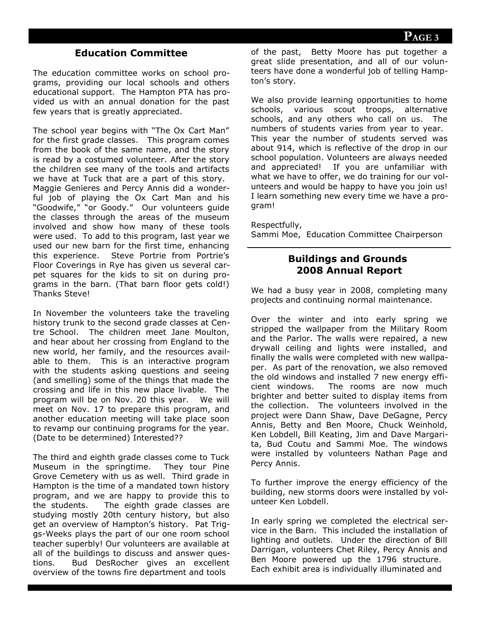# **Education Committee**

The education committee works on school programs, providing our local schools and others educational support. The Hampton PTA has provided us with an annual donation for the past few years that is greatly appreciated.

The school year begins with "The Ox Cart Man" for the first grade classes. This program comes from the book of the same name, and the story is read by a costumed volunteer. After the story the children see many of the tools and artifacts we have at Tuck that are a part of this story. Maggie Genieres and Percy Annis did a wonderful job of playing the Ox Cart Man and his "Goodwife," "or Goody." Our volunteers guide the classes through the areas of the museum involved and show how many of these tools were used. To add to this program, last year we used our new barn for the first time, enhancing this experience. Steve Portrie from Portrie's Floor Coverings in Rye has given us several carpet squares for the kids to sit on during programs in the barn. (That barn floor gets cold!) Thanks Steve!

In November the volunteers take the traveling history trunk to the second grade classes at Centre School. The children meet Jane Moulton, and hear about her crossing from England to the new world, her family, and the resources available to them. This is an interactive program with the students asking questions and seeing (and smelling) some of the things that made the crossing and life in this new place livable. The program will be on Nov. 20 this year. We will meet on Nov. 17 to prepare this program, and another education meeting will take place soon to revamp our continuing programs for the year. (Date to be determined) Interested??

The third and eighth grade classes come to Tuck Museum in the springtime. They tour Pine Grove Cemetery with us as well. Third grade in Hampton is the time of a mandated town history program, and we are happy to provide this to the students. The eighth grade classes are studying mostly 20th century history, but also get an overview of Hampton's history. Pat Triggs-Weeks plays the part of our one room school teacher superbly! Our volunteers are available at all of the buildings to discuss and answer questions. Bud DesRocher gives an excellent overview of the towns fire department and tools

of the past, Betty Moore has put together a great slide presentation, and all of our volunteers have done a wonderful job of telling Hampton's story.

We also provide learning opportunities to home schools, various scout troops, alternative schools, and any others who call on us. The numbers of students varies from year to year. This year the number of students served was about 914, which is reflective of the drop in our school population. Volunteers are always needed and appreciated! If you are unfamiliar with what we have to offer, we do training for our volunteers and would be happy to have you join us! I learn something new every time we have a program!

Respectfully,

Sammi Moe, Education Committee Chairperson

# **Buildings and Grounds 2008 Annual Report**

We had a busy year in 2008, completing many projects and continuing normal maintenance.

Over the winter and into early spring we stripped the wallpaper from the Military Room and the Parlor. The walls were repaired, a new drywall ceiling and lights were installed, and finally the walls were completed with new wallpaper. As part of the renovation, we also removed the old windows and installed 7 new energy efficient windows. The rooms are now much brighter and better suited to display items from the collection. The volunteers involved in the project were Dann Shaw, Dave DeGagne, Percy Annis, Betty and Ben Moore, Chuck Weinhold, Ken Lobdell, Bill Keating, Jim and Dave Margarita, Bud Coutu and Sammi Moe. The windows were installed by volunteers Nathan Page and Percy Annis.

To further improve the energy efficiency of the building, new storms doors were installed by volunteer Ken Lobdell.

In early spring we completed the electrical service in the Barn. This included the installation of lighting and outlets. Under the direction of Bill Darrigan, volunteers Chet Riley, Percy Annis and Ben Moore powered up the 1796 structure. Each exhibit area is individually illuminated and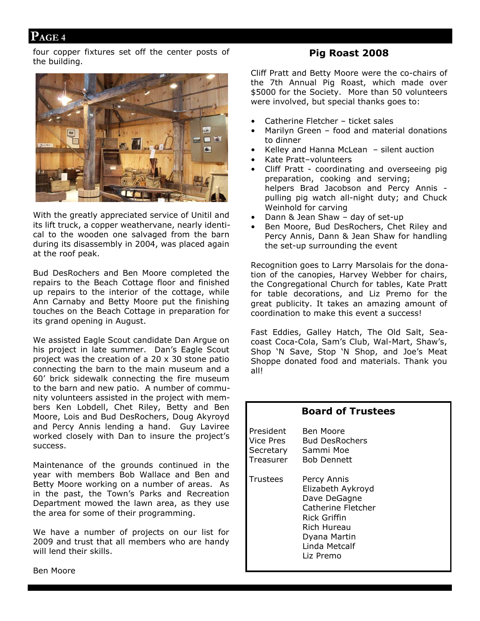# **PAGE 4**

four copper fixtures set off the center posts of the building.



With the greatly appreciated service of Unitil and its lift truck, a copper weathervane, nearly identical to the wooden one salvaged from the barn during its disassembly in 2004, was placed again at the roof peak.

Bud DesRochers and Ben Moore completed the repairs to the Beach Cottage floor and finished up repairs to the interior of the cottage, while Ann Carnaby and Betty Moore put the finishing touches on the Beach Cottage in preparation for its grand opening in August.

We assisted Eagle Scout candidate Dan Argue on his project in late summer. Dan's Eagle Scout project was the creation of a 20 x 30 stone patio connecting the barn to the main museum and a 60' brick sidewalk connecting the fire museum to the barn and new patio. A number of community volunteers assisted in the project with members Ken Lobdell, Chet Riley, Betty and Ben Moore, Lois and Bud DesRochers, Doug Akyroyd and Percy Annis lending a hand. Guy Laviree worked closely with Dan to insure the project's success.

Maintenance of the grounds continued in the year with members Bob Wallace and Ben and Betty Moore working on a number of areas. As in the past, the Town's Parks and Recreation Department mowed the lawn area, as they use the area for some of their programming.

We have a number of projects on our list for 2009 and trust that all members who are handy will lend their skills.

# **Pig Roast 2008**

Cliff Pratt and Betty Moore were the co-chairs of the 7th Annual Pig Roast, which made over \$5000 for the Society. More than 50 volunteers were involved, but special thanks goes to:

- Catherine Fletcher ticket sales
- Marilyn Green food and material donations to dinner
- Kelley and Hanna McLean silent auction
- Kate Pratt–volunteers
- Cliff Pratt coordinating and overseeing pig preparation, cooking and serving; helpers Brad Jacobson and Percy Annis pulling pig watch all-night duty; and Chuck Weinhold for carving
- Dann & Jean Shaw day of set-up
- Ben Moore, Bud DesRochers, Chet Riley and Percy Annis, Dann & Jean Shaw for handling the set-up surrounding the event

Recognition goes to Larry Marsolais for the donation of the canopies, Harvey Webber for chairs, the Congregational Church for tables, Kate Pratt for table decorations, and Liz Premo for the great publicity. It takes an amazing amount of coordination to make this event a success!

Fast Eddies, Galley Hatch, The Old Salt, Seacoast Coca-Cola, Sam's Club, Wal-Mart, Shaw's, Shop 'N Save, Stop 'N Shop, and Joe's Meat Shoppe donated food and materials. Thank you all!

|                                                  | <b>Board of Trustees</b>                                                                                                                                   |
|--------------------------------------------------|------------------------------------------------------------------------------------------------------------------------------------------------------------|
| President<br>Vice Pres<br>Secretary<br>Treasurer | <b>Ben Moore</b><br><b>Bud DesRochers</b><br>Sammi Moe<br><b>Bob Dennett</b>                                                                               |
| Trustees                                         | Percy Annis<br>Elizabeth Aykroyd<br>Dave DeGagne<br>Catherine Fletcher<br>Rick Griffin<br><b>Rich Hureau</b><br>Dyana Martin<br>Linda Metcalf<br>Liz Premo |

Ben Moore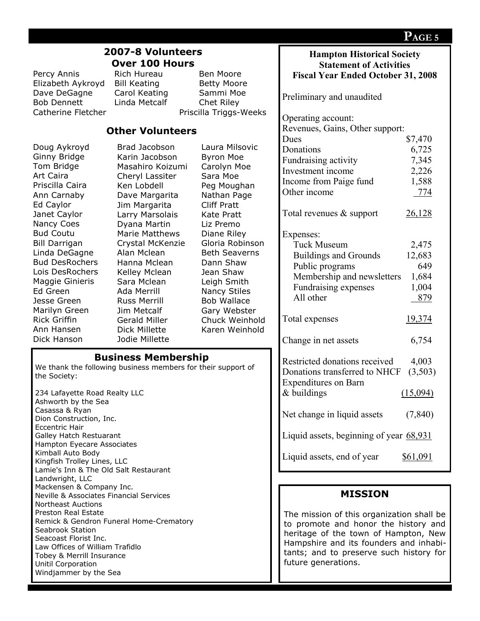|                                                                      |                                                              |                                |                                           | PAGE 5   |
|----------------------------------------------------------------------|--------------------------------------------------------------|--------------------------------|-------------------------------------------|----------|
| 2007-8 Volunteers                                                    |                                                              |                                | <b>Hampton Historical Society</b>         |          |
|                                                                      | <b>Over 100 Hours</b>                                        | <b>Statement of Activities</b> |                                           |          |
| Percy Annis                                                          | Rich Hureau                                                  | Ben Moore                      | <b>Fiscal Year Ended October 31, 2008</b> |          |
| Elizabeth Aykroyd                                                    | <b>Bill Keating</b>                                          | <b>Betty Moore</b>             |                                           |          |
| Dave DeGagne                                                         | Carol Keating                                                | Sammi Moe                      | Preliminary and unaudited                 |          |
| <b>Bob Dennett</b>                                                   | Linda Metcalf                                                | Chet Riley                     |                                           |          |
| Catherine Fletcher                                                   |                                                              | Priscilla Triggs-Weeks         |                                           |          |
|                                                                      |                                                              |                                | Operating account:                        |          |
|                                                                      | <b>Other Volunteers</b>                                      |                                | Revenues, Gains, Other support:           |          |
| Doug Aykroyd                                                         | Brad Jacobson                                                | Laura Milsovic                 | Dues                                      | \$7,470  |
| Ginny Bridge                                                         | Karin Jacobson                                               | <b>Byron Moe</b>               | Donations                                 | 6,725    |
| Tom Bridge                                                           | Masahiro Koizumi                                             | Carolyn Moe                    | Fundraising activity                      | 7,345    |
| Art Caira                                                            | Cheryl Lassiter                                              | Sara Moe                       | Investment income                         | 2,226    |
| Priscilla Caira                                                      | Ken Lobdell                                                  | Peg Moughan                    | Income from Paige fund                    | 1,588    |
| Ann Carnaby                                                          | Dave Margarita                                               | Nathan Page                    | Other income                              | 774      |
| Ed Caylor                                                            | Jim Margarita                                                | <b>Cliff Pratt</b>             |                                           |          |
| Janet Caylor                                                         | Larry Marsolais                                              | <b>Kate Pratt</b>              | Total revenues & support                  | 26,128   |
| Nancy Coes                                                           | Dyana Martin                                                 | Liz Premo                      |                                           |          |
| <b>Bud Coutu</b>                                                     | <b>Marie Matthews</b>                                        | Diane Riley                    | Expenses:                                 |          |
| <b>Bill Darrigan</b>                                                 | Crystal McKenzie                                             | Gloria Robinson                | <b>Tuck Museum</b>                        | 2,475    |
| Linda DeGagne                                                        | Alan Mclean                                                  | <b>Beth Seaverns</b>           | <b>Buildings and Grounds</b>              | 12,683   |
| <b>Bud DesRochers</b>                                                | Hanna Mclean                                                 | Dann Shaw                      | Public programs                           | 649      |
| Lois DesRochers                                                      | Kelley Mclean                                                | Jean Shaw                      | Membership and newsletters                | 1,684    |
| Maggie Ginieris                                                      | Sara Mclean                                                  | Leigh Smith                    | Fundraising expenses                      | 1,004    |
| Ed Green                                                             | Ada Merrill                                                  | <b>Nancy Stiles</b>            | All other                                 | 879      |
| Jesse Green                                                          | <b>Russ Merrill</b>                                          | <b>Bob Wallace</b>             |                                           |          |
| Marilyn Green                                                        | Jim Metcalf                                                  | Gary Webster                   |                                           |          |
| <b>Rick Griffin</b>                                                  | Gerald Miller                                                | Chuck Weinhold                 | Total expenses                            | 19,374   |
| Ann Hansen                                                           | <b>Dick Millette</b>                                         | Karen Weinhold                 |                                           |          |
| Dick Hanson                                                          | Jodie Millette                                               |                                | Change in net assets                      | 6,754    |
|                                                                      | <b>Business Membership</b>                                   |                                |                                           |          |
|                                                                      | We thank the following business members for their support of |                                | Restricted donations received             | 4,003    |
| the Society:                                                         |                                                              |                                | Donations transferred to NHCF             | (3,503)  |
|                                                                      |                                                              |                                | <b>Expenditures on Barn</b>               |          |
| 234 Lafayette Road Realty LLC                                        |                                                              |                                | $&$ buildings                             | (15,094) |
| Ashworth by the Sea                                                  |                                                              |                                |                                           |          |
| Casassa & Ryan<br>Dion Construction, Inc.                            |                                                              |                                | Net change in liquid assets               | (7, 840) |
| Eccentric Hair                                                       |                                                              |                                |                                           |          |
| Galley Hatch Restuarant                                              |                                                              |                                | Liquid assets, beginning of year 68,931   |          |
| Hampton Eyecare Associates                                           |                                                              |                                |                                           |          |
| Kimball Auto Body                                                    |                                                              |                                | Liquid assets, end of year                | \$61,091 |
| Kingfish Trolley Lines, LLC<br>Lamie's Inn & The Old Salt Restaurant |                                                              |                                |                                           |          |
| Landwright, LLC                                                      |                                                              |                                |                                           |          |
| Mackensen & Company Inc.                                             |                                                              |                                |                                           |          |
| <b>Neville &amp; Associates Financial Services</b>                   |                                                              |                                | <b>MISSION</b>                            |          |
| <b>Northeast Auctions</b>                                            |                                                              |                                |                                           |          |
| <b>Preston Real Estate</b>                                           |                                                              |                                | The mission of this organization shall be |          |
| Remick & Gendron Funeral Home-Crematory<br>Seabrook Station          |                                                              |                                | to promote and honor the history and      |          |
| Seacoast Florist Inc.                                                |                                                              |                                | heritage of the town of Hampton, New      |          |
| Law Offices of William Trafidlo                                      |                                                              |                                | Hampshire and its founders and inhabi-    |          |
| Tobey & Merrill Insurance                                            |                                                              |                                | tants; and to preserve such history for   |          |
| Unitil Corporation                                                   |                                                              |                                | future generations.                       |          |
| Windjammer by the Sea                                                |                                                              |                                |                                           |          |